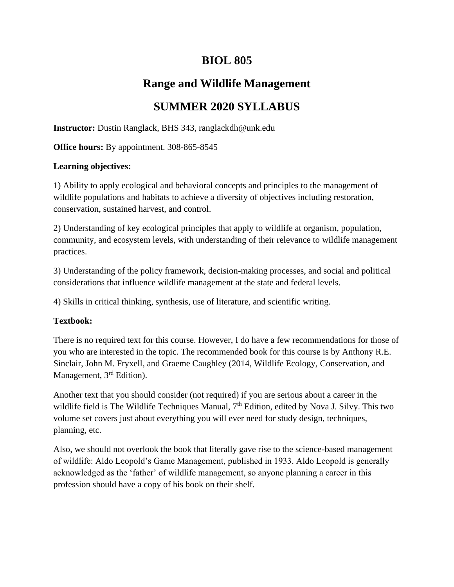# **BIOL 805**

# **Range and Wildlife Management**

# **SUMMER 2020 SYLLABUS**

**Instructor:** Dustin Ranglack, BHS 343, ranglackdh@unk.edu

**Office hours:** By appointment. 308-865-8545

### **Learning objectives:**

1) Ability to apply ecological and behavioral concepts and principles to the management of wildlife populations and habitats to achieve a diversity of objectives including restoration, conservation, sustained harvest, and control.

2) Understanding of key ecological principles that apply to wildlife at organism, population, community, and ecosystem levels, with understanding of their relevance to wildlife management practices.

3) Understanding of the policy framework, decision-making processes, and social and political considerations that influence wildlife management at the state and federal levels.

4) Skills in critical thinking, synthesis, use of literature, and scientific writing.

## **Textbook:**

There is no required text for this course. However, I do have a few recommendations for those of you who are interested in the topic. The recommended book for this course is by Anthony R.E. Sinclair, John M. Fryxell, and Graeme Caughley (2014, Wildlife Ecology, Conservation, and Management, 3<sup>rd</sup> Edition).

Another text that you should consider (not required) if you are serious about a career in the wildlife field is The Wildlife Techniques Manual, 7<sup>th</sup> Edition, edited by Nova J. Silvy. This two volume set covers just about everything you will ever need for study design, techniques, planning, etc.

Also, we should not overlook the book that literally gave rise to the science-based management of wildlife: Aldo Leopold's Game Management, published in 1933. Aldo Leopold is generally acknowledged as the 'father' of wildlife management, so anyone planning a career in this profession should have a copy of his book on their shelf.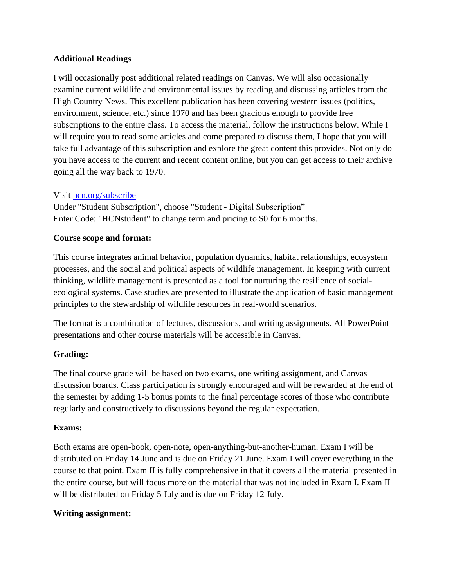#### **Additional Readings**

I will occasionally post additional related readings on Canvas. We will also occasionally examine current wildlife and environmental issues by reading and discussing articles from the High Country News. This excellent publication has been covering western issues (politics, environment, science, etc.) since 1970 and has been gracious enough to provide free subscriptions to the entire class. To access the material, follow the instructions below. While I will require you to read some articles and come prepared to discuss them, I hope that you will take full advantage of this subscription and explore the great content this provides. Not only do you have access to the current and recent content online, but you can get access to their archive going all the way back to 1970.

#### Visit [hcn.org/subscribe](http://hcn.org/subscribe)

Under "Student Subscription", choose "Student - Digital Subscription" Enter Code: "HCNstudent" to change term and pricing to \$0 for 6 months.

#### **Course scope and format:**

This course integrates animal behavior, population dynamics, habitat relationships, ecosystem processes, and the social and political aspects of wildlife management. In keeping with current thinking, wildlife management is presented as a tool for nurturing the resilience of socialecological systems. Case studies are presented to illustrate the application of basic management principles to the stewardship of wildlife resources in real-world scenarios.

The format is a combination of lectures, discussions, and writing assignments. All PowerPoint presentations and other course materials will be accessible in Canvas.

### **Grading:**

The final course grade will be based on two exams, one writing assignment, and Canvas discussion boards. Class participation is strongly encouraged and will be rewarded at the end of the semester by adding 1-5 bonus points to the final percentage scores of those who contribute regularly and constructively to discussions beyond the regular expectation.

### **Exams:**

Both exams are open-book, open-note, open-anything-but-another-human. Exam I will be distributed on Friday 14 June and is due on Friday 21 June. Exam I will cover everything in the course to that point. Exam II is fully comprehensive in that it covers all the material presented in the entire course, but will focus more on the material that was not included in Exam I. Exam II will be distributed on Friday 5 July and is due on Friday 12 July.

### **Writing assignment:**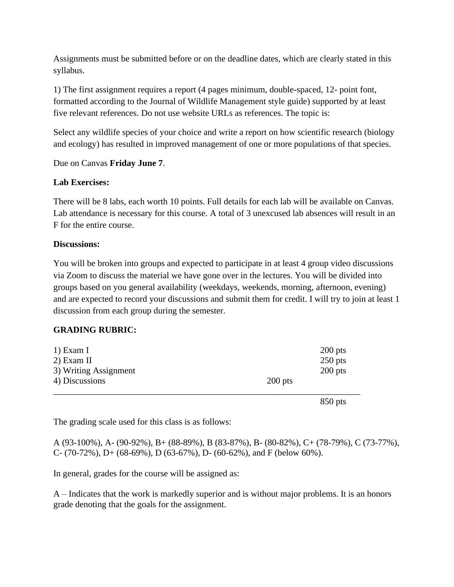Assignments must be submitted before or on the deadline dates, which are clearly stated in this syllabus.

1) The first assignment requires a report (4 pages minimum, double-spaced, 12- point font, formatted according to the Journal of Wildlife Management style guide) supported by at least five relevant references. Do not use website URLs as references. The topic is:

Select any wildlife species of your choice and write a report on how scientific research (biology and ecology) has resulted in improved management of one or more populations of that species.

Due on Canvas **Friday June 7**.

#### **Lab Exercises:**

There will be 8 labs, each worth 10 points. Full details for each lab will be available on Canvas. Lab attendance is necessary for this course. A total of 3 unexcused lab absences will result in an F for the entire course.

#### **Discussions:**

You will be broken into groups and expected to participate in at least 4 group video discussions via Zoom to discuss the material we have gone over in the lectures. You will be divided into groups based on you general availability (weekdays, weekends, morning, afternoon, evening) and are expected to record your discussions and submit them for credit. I will try to join at least 1 discussion from each group during the semester.

### **GRADING RUBRIC:**

| 3) Writing Assignment<br>4) Discussions | $200$ pts | $200$ pts              |
|-----------------------------------------|-----------|------------------------|
| 1) Exam I<br>$2)$ Exam II               |           | $200$ pts<br>$250$ pts |

850 pts

The grading scale used for this class is as follows:

A (93-100%), A- (90-92%), B+ (88-89%), B (83-87%), B- (80-82%), C+ (78-79%), C (73-77%), C- (70-72%), D+ (68-69%), D (63-67%), D- (60-62%), and F (below 60%).

In general, grades for the course will be assigned as:

A – Indicates that the work is markedly superior and is without major problems. It is an honors grade denoting that the goals for the assignment.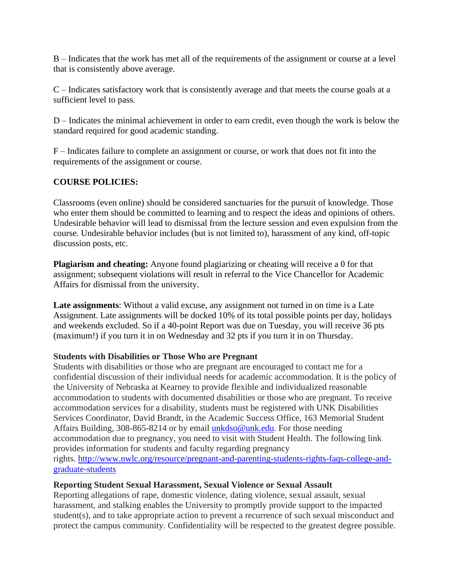B – Indicates that the work has met all of the requirements of the assignment or course at a level that is consistently above average.

C – Indicates satisfactory work that is consistently average and that meets the course goals at a sufficient level to pass.

D – Indicates the minimal achievement in order to earn credit, even though the work is below the standard required for good academic standing.

F – Indicates failure to complete an assignment or course, or work that does not fit into the requirements of the assignment or course.

## **COURSE POLICIES:**

Classrooms (even online) should be considered sanctuaries for the pursuit of knowledge. Those who enter them should be committed to learning and to respect the ideas and opinions of others. Undesirable behavior will lead to dismissal from the lecture session and even expulsion from the course. Undesirable behavior includes (but is not limited to), harassment of any kind, off-topic discussion posts, etc.

**Plagiarism and cheating:** Anyone found plagiarizing or cheating will receive a 0 for that assignment; subsequent violations will result in referral to the Vice Chancellor for Academic Affairs for dismissal from the university.

**Late assignments**: Without a valid excuse, any assignment not turned in on time is a Late Assignment. Late assignments will be docked 10% of its total possible points per day, holidays and weekends excluded. So if a 40-point Report was due on Tuesday, you will receive 36 pts (maximum!) if you turn it in on Wednesday and 32 pts if you turn it in on Thursday.

### **Students with Disabilities or Those Who are Pregnant**

Students with disabilities or those who are pregnant are encouraged to contact me for a confidential discussion of their individual needs for academic accommodation. It is the policy of the University of Nebraska at Kearney to provide flexible and individualized reasonable accommodation to students with documented disabilities or those who are pregnant. To receive accommodation services for a disability, students must be registered with UNK Disabilities Services Coordinator, David Brandt, in the Academic Success Office, 163 Memorial Student Affairs Building, 308-865-8214 or by email [unkdso@unk.edu.](mailto:unkdso@unk.edu) For those needing accommodation due to pregnancy, you need to visit with Student Health. The following link provides information for students and faculty regarding pregnancy rights. [http://www.nwlc.org/resource/pregnant-and-parenting-students-rights-faqs-college-and](http://www.nwlc.org/resource/pregnant-and-parenting-students-rights-faqs-college-and-graduate-students)[graduate-students](http://www.nwlc.org/resource/pregnant-and-parenting-students-rights-faqs-college-and-graduate-students)

### **Reporting Student Sexual Harassment, Sexual Violence or Sexual Assault**

Reporting allegations of rape, domestic violence, dating violence, sexual assault, sexual harassment, and stalking enables the University to promptly provide support to the impacted student(s), and to take appropriate action to prevent a recurrence of such sexual misconduct and protect the campus community. Confidentiality will be respected to the greatest degree possible.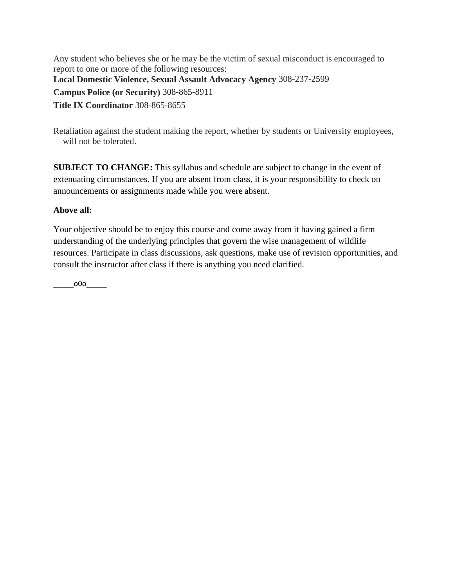Any student who believes she or he may be the victim of sexual misconduct is encouraged to report to one or more of the following resources: **Local Domestic Violence, Sexual Assault Advocacy Agency** 308-237-2599 **Campus Police (or Security)** 308-865-8911 **Title IX Coordinator** 308-865-8655

Retaliation against the student making the report, whether by students or University employees, will not be tolerated.

**SUBJECT TO CHANGE:** This syllabus and schedule are subject to change in the event of extenuating circumstances. If you are absent from class, it is your responsibility to check on announcements or assignments made while you were absent.

### **Above all:**

Your objective should be to enjoy this course and come away from it having gained a firm understanding of the underlying principles that govern the wise management of wildlife resources. Participate in class discussions, ask questions, make use of revision opportunities, and consult the instructor after class if there is anything you need clarified.

 $_{\rm 000}$